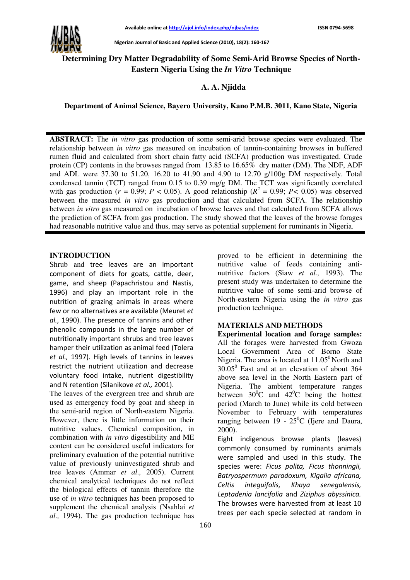

Nigerian Journal of Basic and Applied Science (2010), 18(2): 160-167

# **Determining Dry Matter Degradability of Some Semi-Arid Browse Species of North-Eastern Nigeria Using the** *In Vitro* **Technique**

## **A. A. Njidda**

**Department of Animal Science, Bayero University, Kano P.M.B. 3011, Kano State, Nigeria** 

**ABSTRACT:** The *in vitro* gas production of some semi-arid browse species were evaluated. The relationship between *in vitro* gas measured on incubation of tannin-containing browses in buffered rumen fluid and calculated from short chain fatty acid (SCFA) production was investigated. Crude protein (CP) contents in the browses ranged from 13.85 to 16.65% dry matter (DM). The NDF, ADF and ADL were 37.30 to 51.20, 16.20 to 41.90 and 4.90 to 12.70 g/100g DM respectively. Total condensed tannin (TCT) ranged from 0.15 to 0.39 mg/g DM. The TCT was significantly correlated with gas production ( $r = 0.99$ ;  $P < 0.05$ ). A good relationship ( $R^2 = 0.99$ ;  $P < 0.05$ ) was observed between the measured *in vitro* gas production and that calculated from SCFA. The relationship between *in vitro* gas measured on incubation of browse leaves and that calculated from SCFA allows the prediction of SCFA from gas production. The study showed that the leaves of the browse forages had reasonable nutritive value and thus, may serve as potential supplement for ruminants in Nigeria.

### **INTRODUCTION**

Shrub and tree leaves are an important component of diets for goats, cattle, deer, game, and sheep (Papachristou and Nastis, 1996) and play an important role in the nutrition of grazing animals in areas where few or no alternatives are available (Meuret et al., 1990). The presence of tannins and other phenolic compounds in the large number of nutritionally important shrubs and tree leaves hamper their utilization as animal feed (Tolera et al., 1997). High levels of tannins in leaves restrict the nutrient utilization and decrease voluntary food intake, nutrient digestibility and N retention (Silanikove et al., 2001).

The leaves of the evergreen tree and shrub are used as emergency food by goat and sheep in the semi-arid region of North-eastern Nigeria. However, there is little information on their nutritive values. Chemical composition, in combination with *in vitro* digestibility and ME content can be considered useful indicators for preliminary evaluation of the potential nutritive value of previously uninvestigated shrub and tree leaves (Ammar *et al.,* 2005). Current chemical analytical techniques do not reflect the biological effects of tannin therefore the use of *in vitro* techniques has been proposed to supplement the chemical analysis (Nsahlai *et al.,* 1994). The gas production technique has

proved to be efficient in determining the nutritive value of feeds containing antinutritive factors (Siaw *et al.,* 1993). The present study was undertaken to determine the nutritive value of some semi-arid browse of North-eastern Nigeria using the *in vitro* gas production technique.

### **MATERIALS AND METHODS**

**Experimental location and forage samples:**  All the forages were harvested from Gwoza Local Government Area of Borno State Nigeria. The area is located at  $11.05^{\circ}$  North and  $30.05^{\circ}$  East and at an elevation of about 364 above sea level in the North Eastern part of Nigeria. The ambient temperature ranges between  $30^{\circ}$ C and  $42^{\circ}$ C being the hottest period (March to June) while its cold between November to February with temperatures ranging between 19 -  $25^{\circ}$ C (Ijere and Daura, 2000).

Eight indigenous browse plants (leaves) commonly consumed by ruminants animals were sampled and used in this study. The species were: Ficus polita, Ficus thonningii, Batryospermum paradoxum, Kigalia africana, Celtis integuifolis, Khaya senegalensis, Leptadenia lancifolia and Ziziphus abyssinica. The browses were harvested from at least 10 trees per each specie selected at random in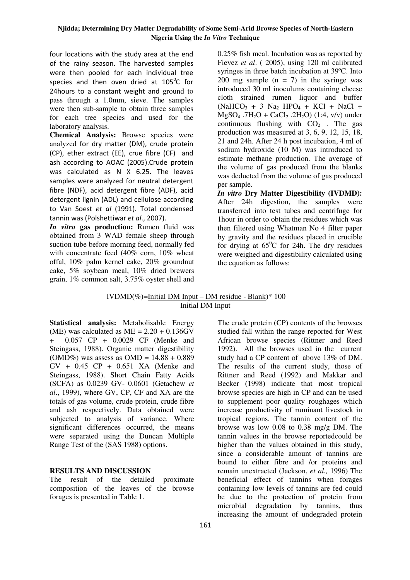#### **Njidda; Determining Dry Matter Degradability of Some Semi-Arid Browse Species of North-Eastern Nigeria Using the** *In Vitro* **Technique**

four locations with the study area at the end of the rainy season. The harvested samples were then pooled for each individual tree species and then oven dried at 105 $\mathrm{^0C}$  for 24 hours to a constant weight and ground to pass through a 1.0mm, sieve. The samples were then sub-sample to obtain three samples for each tree species and used for the laboratory analysis.

**Chemical Analysis:** Browse species were analyzed for dry matter (DM), crude protein (CP), ether extract (EE), crue fibre (CF) and ash according to AOAC (2005).Crude protein was calculated as N X 6.25. The leaves samples were analyzed for neutral detergent fibre (NDF), acid detergent fibre (ADF), acid detergent lignin (ADL) and cellulose according to Van Soest et al (1991). Total condensed tannin was (Polshettiwar et al., 2007).

*In vitro* **gas production:** Rumen fluid was obtained from 3 WAD female sheep through suction tube before morning feed, normally fed with concentrate feed (40% corn, 10% wheat offal, 10% palm kernel cake, 20% groundnut cake, 5% soybean meal, 10% dried brewers grain, 1% common salt, 3.75% oyster shell and 0.25% fish meal. Incubation was as reported by Fievez *et al*. ( 2005), using 120 ml calibrated syringes in three batch incubation at 39ºC. Into 200 mg sample  $(n = 7)$  in the syringe was introduced 30 ml inoculums containing cheese cloth strained rumen liquor and buffer  $(NaHCO<sub>3</sub> + 3 Na<sub>2</sub> HPO<sub>4</sub> + KCl + NaCl +$  $MgSO_4$  .7H<sub>2</sub>O + CaCl<sub>2</sub> .2H<sub>2</sub>O) (1:4, v/v) under continuous flushing with  $CO<sub>2</sub>$ . The gas production was measured at 3, 6, 9, 12, 15, 18, 21 and 24h. After 24 h post incubation, 4 ml of sodium hydroxide (10 M) was introduced to estimate methane production. The average of the volume of gas produced from the blanks was deducted from the volume of gas produced per sample.

*In vitro* **Dry Matter Digestibility (IVDMD):**  After 24h digestion, the samples were transferred into test tubes and centrifuge for 1hour in order to obtain the residues which was then filtered using Whatman No 4 filter paper by gravity and the residues placed in crucible for drying at  $65^{\circ}$ C for 24h. The dry residues were weighed and digestibility calculated using the equation as follows:

### IVDMD(%)=Initial DM Input – DM residue - Blank)\*  $100$ Initial DM Input

**Statistical analysis:** Metabolisable Energy (ME) was calculated as  $ME = 2.20 + 0.136$ GV + 0.057 CP + 0.0029 CF (Menke and Steingass, 1988). Organic matter digestibility (OMD%) was assess as OMD =  $14.88 + 0.889$ GV + 0.45 CP + 0.651 XA (Menke and Steingass, 1988). Short Chain Fatty Acids (SCFA) as 0.0239 GV- 0.0601 (Getachew *et al*., 1999), where GV, CP, CF and XA are the totals of gas volume, crude protein, crude fibre and ash respectively. Data obtained were subjected to analysis of variance. Where significant differences occurred, the means were separated using the Duncan Multiple Range Test of the (SAS 1988) options.

### **RESULTS AND DISCUSSION**

The result of the detailed proximate composition of the leaves of the browse forages is presented in Table 1.

161

The crude protein (CP) contents of the browses studied fall within the range reported for West African browse species (Rittner and Reed 1992). All the browses used in the current study had a CP content of above 13% of DM. The results of the current study, those of Rittner and Reed (1992) and Makkar and Becker (1998) indicate that most tropical browse species are high in CP and can be used to supplement poor quality roughages which increase productivity of ruminant livestock in tropical regions. The tannin content of the browse was low 0.08 to 0.38 mg/g DM. The tannin values in the browse reportedcould be higher than the values obtained in this study, since a considerable amount of tannins are bound to either fibre and /or proteins and remain unextracted (Jackson, *et al.,* 1996) The beneficial effect of tannins when forages containing low levels of tannins are fed could be due to the protection of protein from microbial degradation by tannins, thus increasing the amount of undegraded protein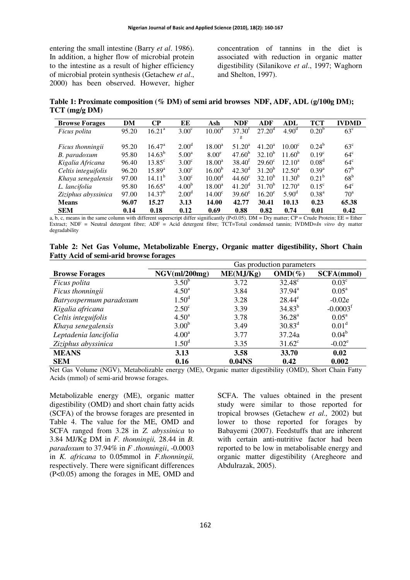entering the small intestine (Barry *et al*. 1986). In addition, a higher flow of microbial protein to the intestine as a result of higher efficiency of microbial protein synthesis (Getachew *et al*., 2000) has been observed. However, higher concentration of tannins in the diet is associated with reduction in organic matter digestibility (Silanikove *et al*., 1997; Waghorn and Shelton, 1997).

**Table 1: Proximate composition (% DM) of semi arid browses NDF, ADF, ADL (g/100g DM); TCT (mg/g DM)** 

| <b>Browse Forages</b>   | DM    | $\bf CP$           | EE                | Ash                | <b>NDF</b>         | ADF             | <b>ADL</b>        | TCT               | <b>IVDMD</b>    |
|-------------------------|-------|--------------------|-------------------|--------------------|--------------------|-----------------|-------------------|-------------------|-----------------|
| Ficus polita            | 95.20 | $16.21^{\circ}$    | $3.00^{\circ}$    | 10.00 <sup>d</sup> | 37.30 <sup>t</sup> | $27.20^{\circ}$ | 4.90 <sup>d</sup> | 0.20 <sup>b</sup> | $63^{\circ}$    |
|                         |       |                    |                   |                    | g                  |                 |                   |                   |                 |
| <i>Ficus thonningii</i> | 95.20 | $16.47^{\rm a}$    | 2.00 <sup>d</sup> | $18.00^a$          | $51.20^a$          | $41.20^a$       | $10.00^{\circ}$   | $0.24^b$          | $63^{\circ}$    |
| B. paradoxum            | 95.80 | $14.63^{b}$        | 5.00 <sup>a</sup> | $8.00^\circ$       | $47.60^{b}$        | $32.10^{b}$     | $11.60^{b}$       | $0.19^{\circ}$    | $64^{\circ}$    |
| Kigalia Africana        | 96.40 | $13.85^{\circ}$    | 3.00 <sup>c</sup> | $18.00^{\rm a}$    | $38.40^{f}$        | $29.60^{\circ}$ | $12.10^a$         | 0.08 <sup>d</sup> | $64^{\circ}$    |
| Celtis integuifolis     | 96.20 | $15.89^{a}$        | 3.00 <sup>c</sup> | 16.00 <sup>b</sup> | $42.30^{\rm d}$    | $31.20^{b}$     | $12.50^{\circ}$   | $0.39^{a}$        | $67^{\rm b}$    |
| Khaya senegalensis      | 97.00 | 14.11 <sup>b</sup> | $3.00^{\circ}$    | 10.00 <sup>d</sup> | 44.60 <sup>c</sup> | $32.10^{b}$     | $11.30^{b}$       | $0.21^{b}$        | 68 <sup>b</sup> |
| L. lancifolia           | 95.80 | $16.65^{\circ}$    | 4.00 <sup>b</sup> | $18.00^a$          | 41.20 <sup>d</sup> | $31.70^{b}$     | $12.70^a$         | $0.15^{\circ}$    | $64^{\circ}$    |
| Ziziphus abyssinica     | 97.00 | 14.37 <sup>b</sup> | 2.00 <sup>d</sup> | 14.00 <sup>c</sup> | $39.60^e$          | $16.20^e$       | $5.90^{\rm d}$    | $0.38^{a}$        | $70^{\circ}$    |
| <b>Means</b>            | 96.07 | 15.27              | 3.13              | 14.00              | 42.77              | 30.41           | 10.13             | 0.23              | 65.38           |
| <b>SEM</b>              | 0.14  | 0.18               | 0.12              | 0.69               | 0.88               | 0.82            | 0.74              | 0.01              | 0.42            |

a,  $\overline{b}$ , c, means in the same column with different superscript differ significantly (P<0.05). DM = Dry matter; CP = Crude Protein; EE = Ether Extract; NDF = Neutral detergent fibre; ADF = Acid detergent fibre; TCT=Total condensed tannin; IVDMD=*In vitro* dry matter degradability

|  |  | Table 2: Net Gas Volume, Metabolizable Energy, Organic matter digestibility, Short Chain |  |  |  |
|--|--|------------------------------------------------------------------------------------------|--|--|--|
|  |  | <b>Fatty Acid of semi-arid browse forages</b>                                            |  |  |  |

|                         |                   | Gas production parameters |                    |                        |  |  |  |
|-------------------------|-------------------|---------------------------|--------------------|------------------------|--|--|--|
| <b>Browse Forages</b>   | NGV(mI/200mg)     | ME(MJ/Kg)                 | $OMD(\%)$          | <b>SCFA(mmol)</b>      |  |  |  |
| <i>Ficus polita</i>     | $3.50^{b}$        | 3.72                      | $32.48^{\circ}$    | 0.03 <sup>c</sup>      |  |  |  |
| Ficus thonningii        | $4.50^{\circ}$    | 3.84                      | $37.94^{\text{a}}$ | $0.05^{\rm a}$         |  |  |  |
| Batryospermum paradoxum | 1.50 <sup>d</sup> | 3.28                      | $28.44^e$          | $-0.02e$               |  |  |  |
| Kigalia africana        | $2.50^{\circ}$    | 3.39                      | $34.83^{b}$        | $-0.0003$ <sup>f</sup> |  |  |  |
| Celtis integuifolis     | $4.50^{\rm a}$    | 3.78                      | 36.28 <sup>a</sup> | $0.05^{\text{a}}$      |  |  |  |
| Khaya senegalensis      | 3.00 <sup>b</sup> | 3.49                      | $30.83^d$          | 0.01 <sup>d</sup>      |  |  |  |
| Leptadenia lancifolia   | 4.00 <sup>a</sup> | 3.77                      | 37.24a             | $0.04^b$               |  |  |  |
| Ziziphus abyssinica     | 1.50 <sup>d</sup> | 3.35                      | $31.62^{\circ}$    | $-0.02^e$              |  |  |  |
| <b>MEANS</b>            | 3.13              | 3.58                      | 33.70              | 0.02                   |  |  |  |
| <b>SEM</b>              | 0.16              | 0.04 <sub>NS</sub>        | 0.42               | 0.002                  |  |  |  |

Net Gas Volume (NGV), Metabolizable energy (ME), Organic matter digestibility (OMD), Short Chain Fatty Acids (mmol) of semi-arid browse forages.

Metabolizable energy (ME), organic matter digestibility (OMD) and short chain fatty acids (SCFA) of the browse forages are presented in Table 4. The value for the ME, OMD and SCFA ranged from 3.28 in *Z. abyssinica* to 3.84 MJ/Kg DM in *F. thonningii,* 28.44 in *B. paradoxum* to 37.94% in *F .thonningii*, -0.0003 in *K. africana* to 0.05mmol in *F.thonningii,*  respectively. There were significant differences (P<0.05) among the forages in ME, OMD and SCFA. The values obtained in the present study were similar to those reported for tropical browses (Getachew *et al.,* 2002) but lower to those reported for forages by Babayemi (2007). Feedstuffs that are inherent with certain anti-nutritive factor had been reported to be low in metabolisable energy and organic matter digestibility (Aregheore and Abdulrazak, 2005).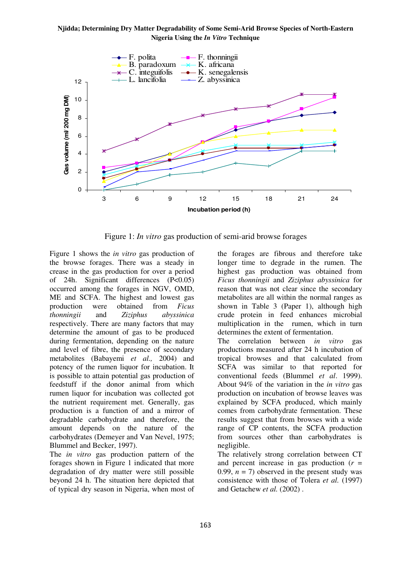#### **Njidda; Determining Dry Matter Degradability of Some Semi-Arid Browse Species of North-Eastern Nigeria Using the** *In Vitro* **Technique**



Figure 1: *In vitro* gas production of semi-arid browse forages

Figure 1 shows the *in vitro* gas production of the browse forages. There was a steady in crease in the gas production for over a period of 24h. Significant differences (P<0.05) occurred among the forages in NGV, OMD, ME and SCFA. The highest and lowest gas<br>production were obtained from *Ficus* production were obtained from *Ficus thonningii* and *Ziziphus abyssinica*  respectively. There are many factors that may determine the amount of gas to be produced during fermentation, depending on the nature and level of fibre, the presence of secondary metabolites (Babayemi *et al.,* 2004) and potency of the rumen liquor for incubation. It is possible to attain potential gas production of feedstuff if the donor animal from which rumen liquor for incubation was collected got the nutrient requirement met. Generally, gas production is a function of and a mirror of degradable carbohydrate and therefore, the amount depends on the nature of the carbohydrates (Demeyer and Van Nevel, 1975; Blummel and Becker, 1997).

The *in vitro* gas production pattern of the forages shown in Figure 1 indicated that more degradation of dry matter were still possible beyond 24 h. The situation here depicted that of typical dry season in Nigeria, when most of the forages are fibrous and therefore take longer time to degrade in the rumen. The highest gas production was obtained from *Ficus thonningii* and *Ziziphus abyssinica* for reason that was not clear since the secondary metabolites are all within the normal ranges as shown in Table 3 (Paper 1), although high crude protein in feed enhances microbial multiplication in the rumen, which in turn determines the extent of fermentation.

The correlation between *in vitro* gas productions measured after 24 h incubation of tropical browses and that calculated from SCFA was similar to that reported for conventional feeds (Blummel *et al*. 1999). About 94% of the variation in the *in vitro* gas production on incubation of browse leaves was explained by SCFA produced, which mainly comes from carbohydrate fermentation. These results suggest that from browses with a wide range of CP contents, the SCFA production from sources other than carbohydrates is negligible.

The relatively strong correlation between CT and percent increase in gas production (*r* = 0.99,  $n = 7$ ) observed in the present study was consistence with those of Tolera *et al.* (1997) and Getachew *et al.* (2002) .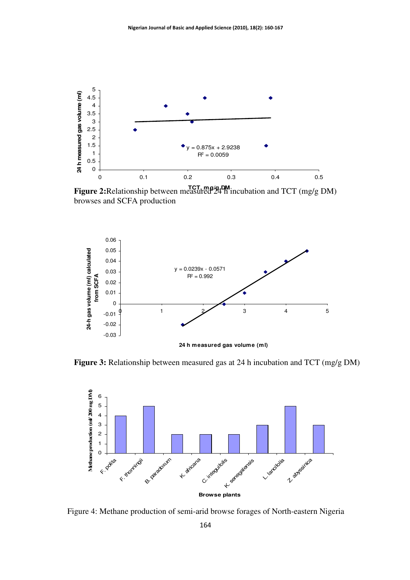

**Figure 2:**Relationship between measured 24 h incubation and TCT (mg/g DM) browses and SCFA production



**Figure 3:** Relationship between measured gas at 24 h incubation and TCT (mg/g DM)



Figure 4: Methane production of semi-arid browse forages of North-eastern Nigeria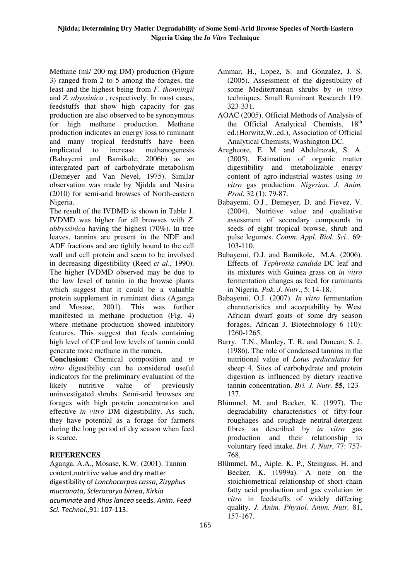Methane (ml/ 200 mg DM) production (Figure 3) ranged from 2 to 5 among the forages, the least and the highest being from *F. thonningii*  and *Z. abyssinica* , respectively. In most cases, feedstuffs that show high capacity for gas production are also observed to be synonymous for high methane production. Methane production indicates an energy loss to ruminant and many tropical feedstuffs have been implicated to increase methanogenesis (Babayemi and Bamikole, 2006b) as an intergrated part of carbohydrate metabolism (Demeyer and Van Nevel, 1975). Similar observation was made by Njidda and Nasiru (2010) for semi-arid browses of North-eastern Nigeria.

The result of the IVDMD is shown in Table 1. IVDMD was higher for all browses with *Z. abbyssinica* having the highest (70%). In tree leaves, tannins are present in the NDF and ADF fractions and are tightly bound to the cell wall and cell protein and seem to be involved in decreasing digestibility (Reed *et al*., 1990). The higher IVDMD observed may be due to the low level of tannin in the browse plants which suggest that it could be a valuable protein supplement in ruminant diets (Aganga and Mosase, 2001). This was further manifested in methane production (Fig. 4) where methane production showed inhibitory features. This suggest that feeds containing high level of CP and low levels of tannin could generate more methane in the rumen.

**Conclusion:** Chemical composition and *in vitro* digestibility can be considered useful indicators for the preliminary evaluation of the likely nutritive value of previously uninvestigated shrubs. Semi-arid browses are forages with high protein concentration and effective *in vitro* DM digestibility. As such, they have potential as a forage for farmers during the long period of dry season when feed is scarce.

## **REFERENCES**

Aganga, A.A., Mosase, K.W. (2001). Tannin content,nutritive value and dry matter digestibility of Lonchocarpus cassa, Zizyphus mucronata, Sclerocarya birrea, Kirkia acuminate and Rhus lancea seeds. Anim. Feed Sci. Technol.,91: 107-113.

- Ammar, H., Lopez, S. and Gonzalez, J. S. (2005). Assessment of the digestibility of some Mediterranean shrubs by *in vitro*  techniques. Small Ruminant Research 119: 323-331.
- AOAC (2005). Official Methods of Analysis of the Official Analytical Chemists, 18<sup>th</sup> ed.(Horwitz,W.,ed.), Association of Official Analytical Chemists, Washington DC.
- Aregheore, E. M. and Abdulrazak, S. A. (2005). Estimation of organic matter digestibility and metabolizable energy content of agro-industrial wastes using *in vitro* gas production. *Nigerian. J. Anim. Prod*. 32 (1): 79-87.
- Babayemi, O.J., Demeyer, D. and Fievez, V. (2004). Nutritive value and qualitative assessment of secondary compounds in seeds of eight tropical browse, shrub and pulse legumes. *Comm. Appl. Biol. Sci*., 69: 103-110.
- Babayemi, O.J. and Bamikole, M.A. (2006). Effects of *Tephrosia candida* DC leaf and its mixtures with Guinea grass on *in vitro*  fermentation changes as feed for ruminants in Nigeria. *Pak. J. Nutr*., 5: 14-18.
- Babayemi, O.J. (2007). *In vitro* fermentation characteristics and acceptability by West African dwarf goats of some dry season forages. African J. Biotechnology 6 (10): 1260-1265.
- Barry, T.N., Manley, T. R. and Duncan, S. J. (1986). The role of condensed tannins in the nutritional value of *Lotus peduculatus* for sheep 4. Sites of carbohydrate and protein digestion as influenced by dietary reactive tannin concentration. *Bri. J. Nutr.* **55**, 123– 137.
- Blümmel, M. and Becker, K. (1997). The degradability characteristics of fifty-four roughages and roughage neutral-detergent fibres as described by *in vitro* gas production and their relationship to voluntary feed intake. *Bri. J. Nutr.* 77: 757- 768.
- Blümmel, M., Aiple, K. P., Steingass, H. and Becker, K. (1999a). A note on the stoichiometrical relationship of short chain fatty acid production and gas evolution *in vitro* in feedstuffs of widely differing quality. *J. Anim. Physiol. Anim. Nutr.* 81, 157-167.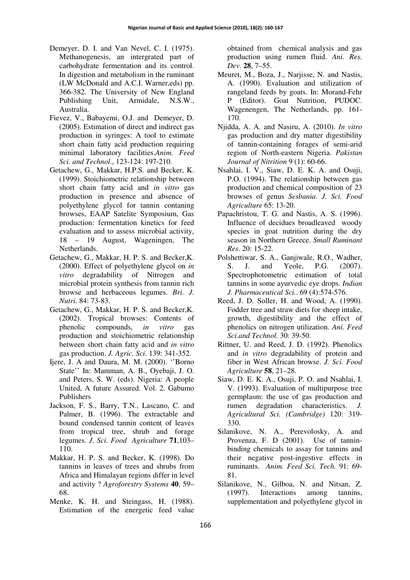- Demeyer, D. I. and Van Nevel, C. I. (1975). Methanogenesis, an intergrated part of carbohydrate fermentation and its control. In digestion and metabolism in the ruminant (LW McDonald and A.C.I. Warner,eds) pp. 366-382. The University of New England Publishing Unit, Armidale, N.S.W., Australia.
- Fievez, V., Babayemi, O.J. and Demeyer, D. (2005). Estimation of direct and indirect gas production in syringes: A tool to estimate short chain fatty acid production requiring minimal laboratory facilities.*Anim. Feed Sci. and Technol*., 123-124: 197-210.
- Getachew, G., Makkar, H.P.S. and Becker, K. (1999). Stoichiometric relationship between short chain fatty acid and *in vitro* gas production in presence and absence of polyethylene glycol for tannin contaning browses, EAAP Satelite Symposium, Gas production: fermentation kinetics for feed evaluation and to assess microbial activity, 18 – 19 August, Wageningen, The Netherlands.
- Getachew, G., Makkar, H. P. S. and Becker,K. (2000). Effect of polyethylene glycol on *in vitro* degradability of Nitrogen and microbial protein synthesis from tannin rich browse and herbaceous legumes. *Bri. J. Nutri.* 84: 73-83*.*
- Getachew, G., Makkar, H. P. S. and Becker,K. (2002). Tropical browses: Contents of phenolic compounds, *in vitro* gas production and stoichiometric relationship between short chain fatty acid and *in vitro*  gas production. *J. Agric. Sci*. 139: 341-352.
- Ijere, J. A and Daura, M. M. (2000). ''Borno State'' In: Mamman, A. B., Oyebaji, J. O. and Peters, S. W. (eds). Nigeria: A people United, A future Assured. Vol. 2. Gabumo Publishers
- Jackson, F. S., Barry, T.N., Lascano, C. and Palmer, B. (1996). The extractable and bound condensed tannin content of leaves from tropical tree, shrub and forage legumes. *J. Sci. Food Agriculture* **71**,103– 110.
- Makkar, H. P. S. and Becker, K. (1998). Do tannins in leaves of trees and shrubs from Africa and Himalayan regions differ in level and activity ? *Agroforestry Systems* **40**, 59– 68.
- Menke, K. H. and Steingass, H. (1988). Estimation of the energetic feed value

obtained from chemical analysis and gas production using rumen fluid. *Ani. Res. Dev.* **28**, 7–55.

- Meuret, M., Boza, J., Narjisse, N. and Nastis, A. (1990). Evaluation and utilization of rangeland feeds by goats. In: Morand-Fehr P (Editor). Goat Nutrition, PUDOC. Wagenengen, The Netherlands, pp. 161- 170.
- Njidda, A. A. and Nasiru, A. (2010). *In vitro* gas production and dry matter digestibility of tannin-containing forages of semi-arid region of North-eastern Nigeria. *Pakistan Journal of Nitrition* 9 (1): 60-66.
- Nsahlai, I. V., Siaw, D. E. K. A. and Osuji, P.O. (1994). The relationship between gas production and chemical composition of 23 browses of genus *Sesbania*. *J. Sci. Food Agriculture* 65: 13-20.
- Papachristou, T. G. and Nastis, A. S. (1996). Influence of decidues broadleaved woody species in goat nutrition during the dry season in Northern Greece. *Small Ruminant Res*. 20: 15-22.
- Polshettiwar, S. A., Ganjiwale, R.O., Wadher, S. J. and Yeole, P.G. (2007). Spectrophotometric estimation of total tannins in some ayurvedic eye drops. *Indian J. Pharmaceutical Sci.*. 69 (4):574-576.
- Reed, J. D. Soller, H. and Wood, A. (1990). Fodder tree and straw diets for sheep intake, growth, digestibility and the effect of phenolics on nitrogen utilization. *Ani. Feed Sci.and Technol.* 30: 39-50.
- Rittner, U. and Reed, J. D. (1992). Phenolics and *in vitro* degradability of protein and fiber in West African browse. *J. Sci. Food Agriculture* **58**, 21–28.
- Siaw, D. E. K. A., Osuji, P. O. and Nsahlai, I. V. (1993). Evaluation of multipurpose tree germplasm: the use of gas production and rumen degradation characteristics. *J. Agricultural Sci. (Cambridge)* 120: 319- 330.
- Silanikove, N. A., Perevolosky, A. and Provenza, F. D (2001). Use of tanninbinding chemicals to assay for tannins and their negative post-ingestive effects in ruminants. *Anim. Feed Sci. Tech.* 91: 69- 81.
- Silanikove, N., Gilboa, N. and Nitsan, Z. (1997). Interactions among tannins, supplementation and polyethylene glycol in